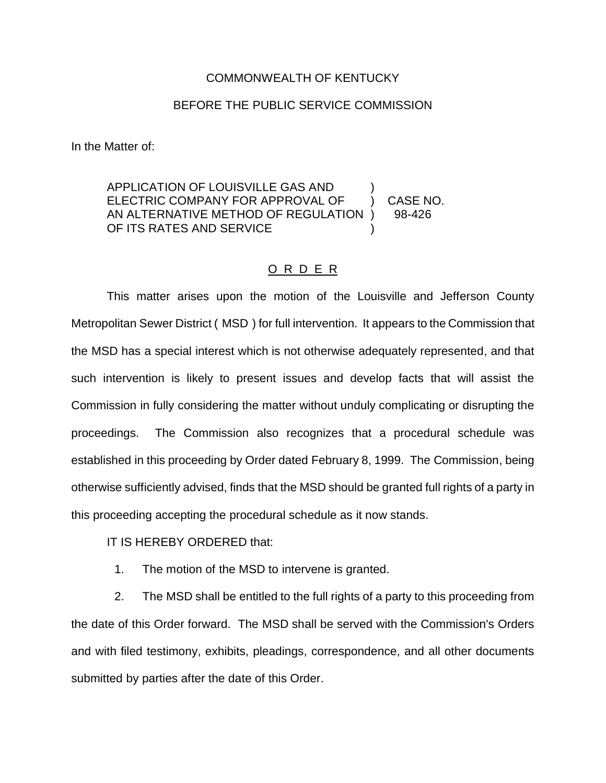## COMMONWEALTH OF KENTUCKY

## BEFORE THE PUBLIC SERVICE COMMISSION

In the Matter of:

APPLICATION OF LOUISVILLE GAS AND ) ELECTRIC COMPANY FOR APPROVAL OF (2) CASE NO. AN ALTERNATIVE METHOD OF REGULATION ) 98-426 OF ITS RATES AND SERVICE

## O R D E R

This matter arises upon the motion of the Louisville and Jefferson County Metropolitan Sewer District ( MSD ) for full intervention. It appears to the Commission that the MSD has a special interest which is not otherwise adequately represented, and that such intervention is likely to present issues and develop facts that will assist the Commission in fully considering the matter without unduly complicating or disrupting the proceedings. The Commission also recognizes that a procedural schedule was established in this proceeding by Order dated February 8, 1999. The Commission, being otherwise sufficiently advised, finds that the MSD should be granted full rights of a party in this proceeding accepting the procedural schedule as it now stands.

IT IS HEREBY ORDERED that:

1. The motion of the MSD to intervene is granted.

2. The MSD shall be entitled to the full rights of a party to this proceeding from the date of this Order forward. The MSD shall be served with the Commission's Orders and with filed testimony, exhibits, pleadings, correspondence, and all other documents submitted by parties after the date of this Order.